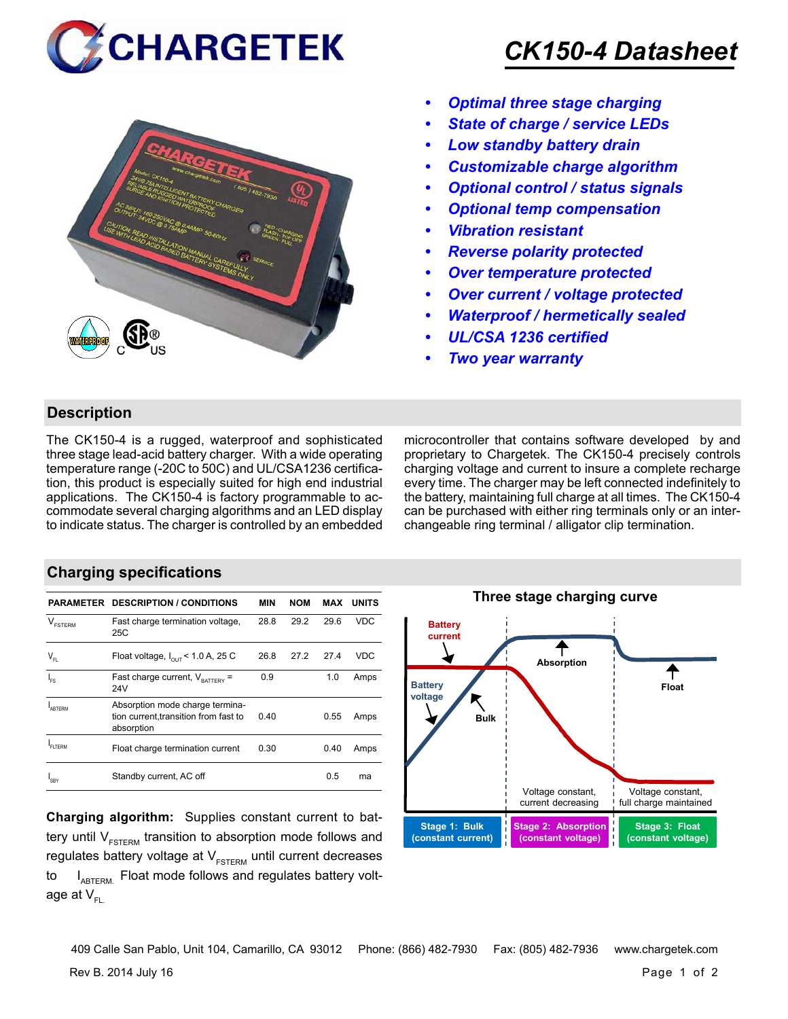



## *CK150-4 Datasheet*

- *• Optimal three stage charging*
- *• State of charge / service LEDs*
- *• Low standby battery drain*
- *• Customizable charge algorithm*
- *• Optional control / status signals*
- *• Optional temp compensation*
- *• Vibration resistant*
- *• Reverse polarity protected*
- *• Over temperature protected*
- *• Over current / voltage protected*
- *• Waterproof / hermetically sealed*
- *• UL/CSA 1236 certified*
- *• Two year warranty*

#### **Description**

The CK150-4 is a rugged, waterproof and sophisticated three stage lead-acid battery charger. With a wide operating temperature range (-20C to 50C) and UL/CSA1236 certification, this product is especially suited for high end industrial applications. The CK150-4 is factory programmable to accommodate several charging algorithms and an LED display to indicate status. The charger is controlled by an embedded microcontroller that contains software developed by and proprietary to Chargetek. The CK150-4 precisely controls charging voltage and current to insure a complete recharge every time. The charger may be left connected indefinitely to the battery, maintaining full charge at all times. The CK150-4 can be purchased with either ring terminals only or an interchangeable ring terminal / alligator clip termination.

## **Charging specifications**

|                            | <b>PARAMETER DESCRIPTION / CONDITIONS</b>                                              | <b>MIN</b> | <b>NOM</b> | MAX  | <b>UNITS</b> |
|----------------------------|----------------------------------------------------------------------------------------|------------|------------|------|--------------|
| $\vee$<br><b>FSTERM</b>    | Fast charge termination voltage,<br>25C                                                | 28.8       | 29.2       | 29.6 | <b>VDC</b>   |
| $\mathsf{V}_{\mathsf{FL}}$ | Float voltage, $I_{\text{out}}$ < 1.0 A, 25 C                                          | 26.8       | 27.2       | 27.4 | VDC          |
| $I_{FS}$                   | Fast charge current, $V_{\text{BATTARY}}$ =<br>24V                                     | 0.9        |            | 1.0  | Amps         |
| <b>ARTERM</b>              | Absorption mode charge termina-<br>tion current, transition from fast to<br>absorption | 0.40       |            | 0.55 | Amps         |
| FI TFRM                    | Float charge termination current                                                       | 0.30       |            | 0.40 | Amps         |
| 'SBY                       | Standby current, AC off                                                                |            |            | 0.5  | ma           |

**Charging algorithm:** Supplies constant current to battery until  $V_{ESTERM}$  transition to absorption mode follows and regulates battery voltage at  $V_{ESTFRM}$  until current decreases to  $I_{ABTERM}$ . Float mode follows and regulates battery voltage at  $V_{\text{F}}$ 



Rev B. 2014 July 16 Page 1 of 2 409 Calle San Pablo, Unit 104, Camarillo, CA 93012 Phone: (866) 482-7930 Fax: (805) 482-7936 www.chargetek.com